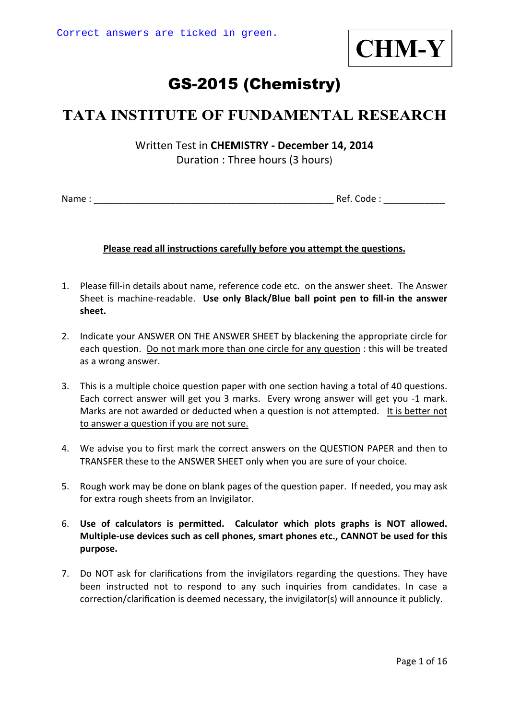

# GS-2015 (Chemistry)

## **TATA INSTITUTE OF FUNDAMENTAL RESEARCH**

Written Test in **CHEMISTRY - December 14, 2014**  Duration : Three hours (3 hours)

Name : \_\_\_\_\_\_\_\_\_\_\_\_\_\_\_\_\_\_\_\_\_\_\_\_\_\_\_\_\_\_\_\_\_\_\_\_\_\_\_\_\_\_\_\_\_\_\_ Ref. Code : \_\_\_\_\_\_\_\_\_\_\_\_

#### **Please read all instructions carefully before you attempt the questions.**

- 1. Please fill-in details about name, reference code etc. on the answer sheet. The Answer Sheet is machine-readable. **Use only Black/Blue ball point pen to fill-in the answer sheet.**
- 2. Indicate your ANSWER ON THE ANSWER SHEET by blackening the appropriate circle for each question. Do not mark more than one circle for any question : this will be treated as a wrong answer.
- 3. This is a multiple choice question paper with one section having a total of 40 questions. Each correct answer will get you 3 marks. Every wrong answer will get you -1 mark. Marks are not awarded or deducted when a question is not attempted. It is better not to answer a question if you are not sure.
- 4. We advise you to first mark the correct answers on the QUESTION PAPER and then to TRANSFER these to the ANSWER SHEET only when you are sure of your choice.
- 5. Rough work may be done on blank pages of the question paper. If needed, you may ask for extra rough sheets from an Invigilator.
- 6. **Use of calculators is permitted. Calculator which plots graphs is NOT allowed. Multiple-use devices such as cell phones, smart phones etc., CANNOT be used for this purpose.**
- 7. Do NOT ask for clarifications from the invigilators regarding the questions. They have been instructed not to respond to any such inquiries from candidates. In case a correction/clarification is deemed necessary, the invigilator(s) will announce it publicly.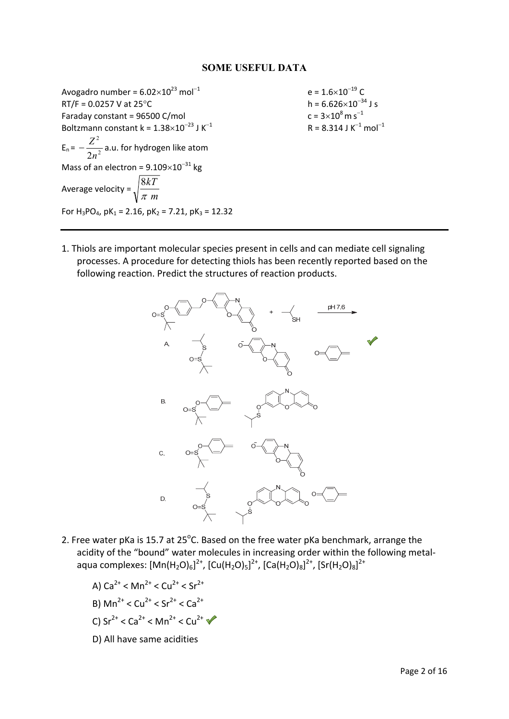#### **SOME USEFUL DATA**

Avogadro number =  $6.02 \times 10^{23}$  mol<sup>-1</sup> e =  $1.6 \times 10^{-19}$  C<br>RT/F = 0.0257 V at 25°C h =  $6.626 \times 10^{-34}$  J s  $RT/F = 0.0257$  V at  $25^{\circ}$ C Faraday constant =  $96500$  C/mol Boltzmann constant k =  $1.38\times10^{-23}$  J K<sup>-1</sup>  $E_n = -\frac{E}{2n^2}$ 2 2*n*  $-\frac{Z^2}{\sqrt{2}}$  a.u. for hydrogen like atom Mass of an electron =  $9.109\times10^{-31}$  kg Average velocity =  $\sqrt{\frac{m}{\pi}}$  *m kT* π 8 For  $H_3PO_4$ , pK<sub>1</sub> = 2.16, pK<sub>2</sub> = 7.21, pK<sub>3</sub> = 12.32

 $c = 3 \times 10^8$  m s<sup>-1</sup>  $R = 8.314$  J K<sup>-1</sup> mol<sup>-1</sup>

1. Thiols are important molecular species present in cells and can mediate cell signaling processes. A procedure for detecting thiols has been recently reported based on the following reaction. Predict the structures of reaction products.



- 2. Free water pKa is 15.7 at 25 $^{\circ}$ C. Based on the free water pKa benchmark, arrange the acidity of the "bound" water molecules in increasing order within the following metal‐ aqua complexes: [Mn(H<sub>2</sub>O)<sub>6</sub>]<sup>2+</sup>, [Cu(H<sub>2</sub>O)<sub>5</sub>]<sup>2+</sup>, [Ca(H<sub>2</sub>O)<sub>8</sub>]<sup>2+</sup>, [Sr(H<sub>2</sub>O)<sub>8</sub>]<sup>2+</sup>
	- A)  $Ca^{2+}$  < Mn<sup>2+</sup> < Cu<sup>2+</sup> < Sr<sup>2+</sup>
	- B)  $\text{Mn}^{2+} < \text{Cu}^{2+} < \text{Sr}^{2+} < \text{Ca}^{2+}$
	- C)  $Sr^{2+} < Ca^{2+} < Mn^{2+} < Cu^{2+}$
	- D) All have same acidities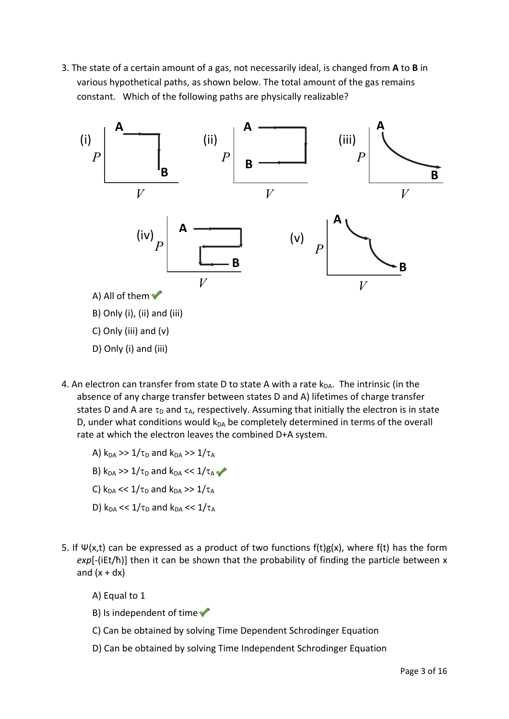3. The state of a certain amount of a gas, not necessarily ideal, is changed from **A** to **B** in various hypothetical paths, as shown below. The total amount of the gas remains constant. Which of the following paths are physically realizable?



- 4. An electron can transfer from state D to state A with a rate  $k_{DA}$ . The intrinsic (in the absence of any charge transfer between states D and A) lifetimes of charge transfer states D and A are  $\tau_D$  and  $\tau_A$ , respectively. Assuming that initially the electron is in state D, under what conditions would  $k_{DA}$  be completely determined in terms of the overall rate at which the electron leaves the combined D+A system.
	- A)  $k_{DA} \gg 1/\tau_D$  and  $k_{DA} \gg 1/\tau_A$
	- B)  $k_{DA}$  >> 1/ $\tau_D$  and  $k_{DA}$  << 1/ $\tau_A$
	- C)  $k_{DA} \ll 1/\tau_D$  and  $k_{DA} \gg 1/\tau_A$
	- D)  $k_{DA} \ll 1/\tau_D$  and  $k_{DA} \ll 1/\tau_A$
- 5. If  $\Psi(x,t)$  can be expressed as a product of two functions f(t)g(x), where f(t) has the form *exp*[‐(iEt/ħ)] then it can be shown that the probability of finding the particle between x and  $(x + dx)$ 
	- A) Equal to 1
	- B) Is independent of time  $\blacktriangledown$
	- C) Can be obtained by solving Time Dependent Schrodinger Equation
	- D) Can be obtained by solving Time Independent Schrodinger Equation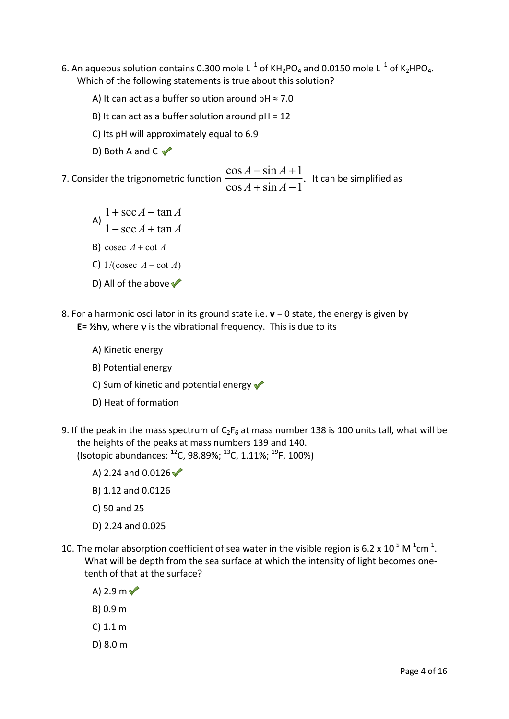- 6. An aqueous solution contains 0.300 mole L<sup>-1</sup> of KH<sub>2</sub>PO<sub>4</sub> and 0.0150 mole L<sup>-1</sup> of K<sub>2</sub>HPO<sub>4</sub>. Which of the following statements is true about this solution?
	- A) It can act as a buffer solution around  $pH \approx 7.0$
	- B) It can act as a buffer solution around  $pH = 12$
	- C) Its pH will approximately equal to 6.9
	- D) Both A and C  $\checkmark$
- 7. Consider the trigonometric function  $\frac{\cos A + \sin A + 1}{\cos A + \sin A 1}.$  $\cos A - \sin A + 1$  $+ \sin A -\sin A +$  $A + \sin A$  $\frac{A-\sin A+1}{A-\sin A}$ . It can be simplified as
	- A)  $\frac{1}{1-\sec A + \tan A}$  $A - \tan A$  $1 - \sec A + \tan A$  $1 + \sec A - \tan A$  $-$  sec  $A$  +  $+ \sec A -$ B) cosec  $A$  + cot  $A$ C)  $1/(\csc A - \cot A)$ D) All of the above  $\blacktriangledown$
- 8. For a harmonic oscillator in its ground state i.e. **v** = 0 state, the energy is given by E= 1/<sub>2</sub>hv, where v is the vibrational frequency. This is due to its
	- A) Kinetic energy
	- B) Potential energy
	- C) Sum of kinetic and potential energy  $\sqrt{\phantom{a}}$
	- D) Heat of formation
- 9. If the peak in the mass spectrum of  $C_2F_6$  at mass number 138 is 100 units tall, what will be the heights of the peaks at mass numbers 139 and 140. (Isotopic abundances: 12C, 98.89%; 13C, 1.11%; 19F, 100%)
	- A) 2.24 and  $0.0126$
	- B) 1.12 and 0.0126
	- C) 50 and 25
	- D) 2.24 and 0.025
- 10. The molar absorption coefficient of sea water in the visible region is 6.2 x  $10^{-5}$  M<sup>-1</sup>cm<sup>-1</sup>. What will be depth from the sea surface at which the intensity of light becomes one‐ tenth of that at the surface?
	- A) 2.9 m $\sqrt{ }$
	- B) 0.9 m
	- C) 1.1 m
	- D) 8.0 m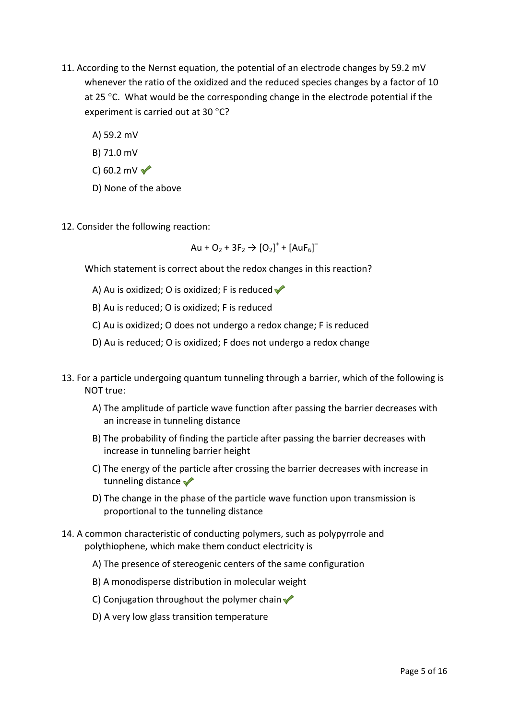- 11. According to the Nernst equation, the potential of an electrode changes by 59.2 mV whenever the ratio of the oxidized and the reduced species changes by a factor of 10 at 25  $\degree$ C. What would be the corresponding change in the electrode potential if the experiment is carried out at 30  $^{\circ}$ C?
	- A) 59.2 mV
	- B) 71.0 mV
	- C) 60.2 mV $\sqrt{}$
	- D) None of the above
- 12. Consider the following reaction:

$$
Au + O_2 + 3F_2 \rightarrow [O_2]^+ + [AuF_6]^-
$$

Which statement is correct about the redox changes in this reaction?

- A) Au is oxidized; O is oxidized; F is reduced  $\blacklozenge$
- B) Au is reduced; O is oxidized; F is reduced
- C) Au is oxidized; O does not undergo a redox change; F is reduced
- D) Au is reduced; O is oxidized; F does not undergo a redox change
- 13. For a particle undergoing quantum tunneling through a barrier, which of the following is NOT true:
	- A) The amplitude of particle wave function after passing the barrier decreases with an increase in tunneling distance
	- B) The probability of finding the particle after passing the barrier decreases with increase in tunneling barrier height
	- C) The energy of the particle after crossing the barrier decreases with increase in tunneling distance
	- D) The change in the phase of the particle wave function upon transmission is proportional to the tunneling distance
- 14. A common characteristic of conducting polymers, such as polypyrrole and polythiophene, which make them conduct electricity is
	- A) The presence of stereogenic centers of the same configuration
	- B) A monodisperse distribution in molecular weight
	- C) Conjugation throughout the polymer chain  $\sqrt{\ }$
	- D) A very low glass transition temperature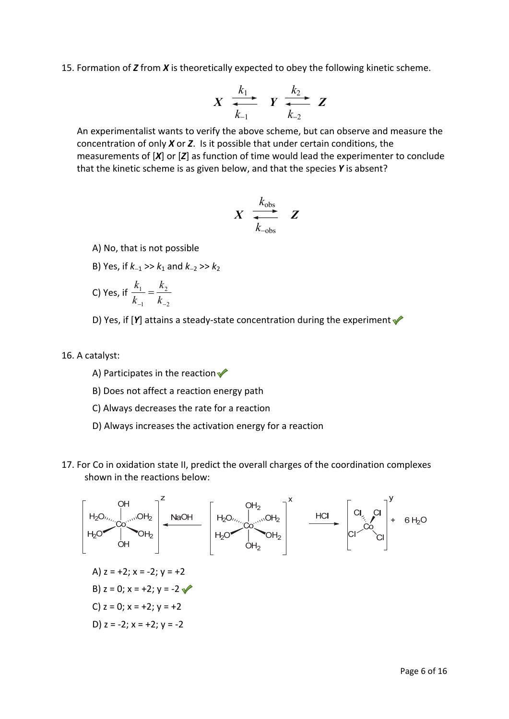15. Formation of *Z* from *X* is theoretically expected to obey the following kinetic scheme.

$$
X \xrightarrow[k_{-1}]{k_1} Y \xrightarrow[k_{-2}]{k_2} Z
$$

An experimentalist wants to verify the above scheme, but can observe and measure the concentration of only *X* or *Z*. Is it possible that under certain conditions, the measurements of [*X*] or [*Z*] as function of time would lead the experimenter to conclude that the kinetic scheme is as given below, and that the species *Y* is absent?

$$
X \begin{array}{ccc} k_{\text{obs}} \\ \hline k_{-\text{obs}} \end{array} Z
$$

A) No, that is not possible

- B) Yes, if  $k_{-1} >> k_1$  and  $k_{-2} >> k_2$
- C) Yes, if 2 2 1 1  $\frac{k_1}{k_1} = \frac{k_2}{k_2}$ *k k k*
- D) Yes, if [Y] attains a steady-state concentration during the experiment **↓**

#### 16. A catalyst:

- A) Participates in the reaction  $\sqrt{\phantom{a}}$
- B) Does not affect a reaction energy path
- C) Always decreases the rate for a reaction
- D) Always increases the activation energy for a reaction
- 17. For Co in oxidation state II, predict the overall charges of the coordination complexes shown in the reactions below:

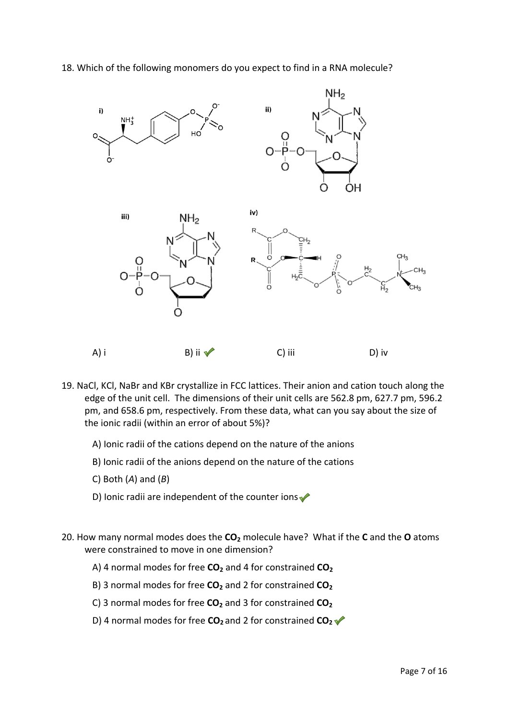#### 18. Which of the following monomers do you expect to find in a RNA molecule?



- 19. NaCl, KCl, NaBr and KBr crystallize in FCC lattices. Their anion and cation touch along the edge of the unit cell. The dimensions of their unit cells are 562.8 pm, 627.7 pm, 596.2 pm, and 658.6 pm, respectively. From these data, what can you say about the size of the ionic radii (within an error of about 5%)?
	- A) Ionic radii of the cations depend on the nature of the anions
	- B) Ionic radii of the anions depend on the nature of the cations
	- C) Both (*A*) and (*B*)
	- D) Ionic radii are independent of the counter ions $\blacklozenge$
- 20. How many normal modes does the **CO2** molecule have? What if the **C** and the **O** atoms were constrained to move in one dimension?
	- A) 4 normal modes for free **CO<sub>2</sub>** and 4 for constrained **CO<sub>2</sub>**
	- B) 3 normal modes for free **CO**<sub>2</sub> and 2 for constrained **CO**<sub>2</sub>
	- C) 3 normal modes for free CO<sub>2</sub> and 3 for constrained CO<sub>2</sub>
	- D) 4 normal modes for free **CO**<sub>2</sub> and 2 for constrained **CO**<sub>2</sub> ↓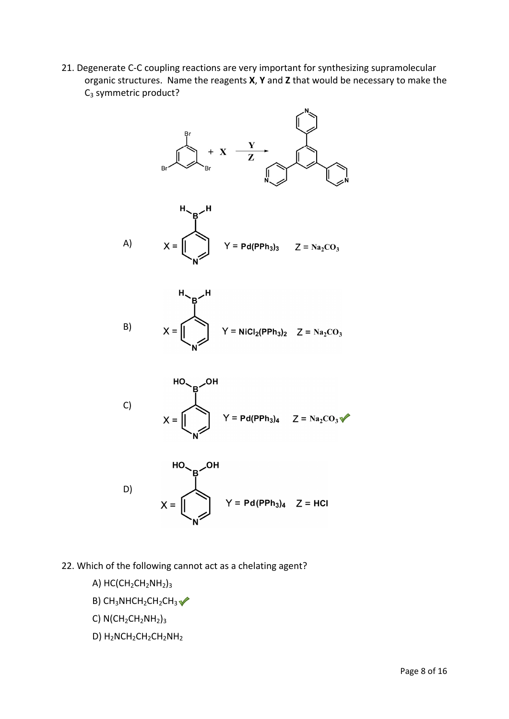21. Degenerate C‐C coupling reactions are very important for synthesizing supramolecular organic structures. Name the reagents **X**, **Y** and **Z** that would be necessary to make the  $C_3$  symmetric product?



- 22. Which of the following cannot act as a chelating agent?
	- A)  $HC(CH_2CH_2NH_2)_3$
	- B)  $CH_3NHCH_2CH_2CH_3$
	- C)  $N(CH_2CH_2NH_2)_3$
	- D) H<sub>2</sub>NCH<sub>2</sub>CH<sub>2</sub>CH<sub>2</sub>NH<sub>2</sub>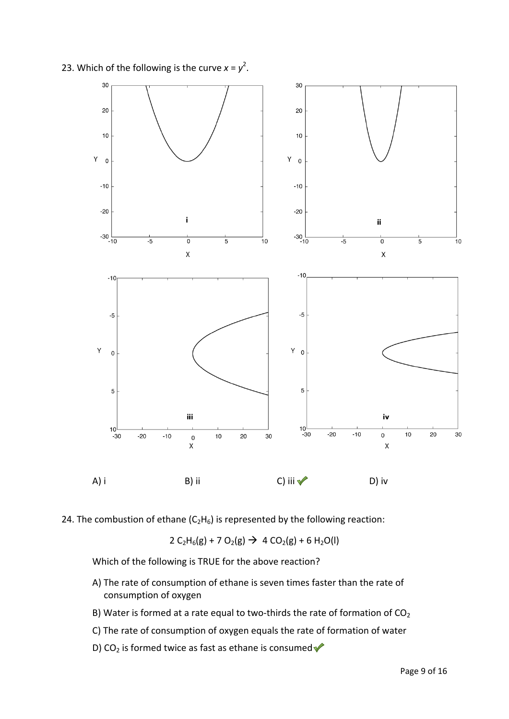23. Which of the following is the curve  $x = y^2$ .



24. The combustion of ethane  $(C_2H_6)$  is represented by the following reaction:

 $2 C_2H_6(g) + 7 O_2(g)$   $\rightarrow$  4 CO<sub>2</sub>(g) + 6 H<sub>2</sub>O(l)

Which of the following is TRUE for the above reaction?

- A) The rate of consumption of ethane is seven times faster than the rate of consumption of oxygen
- B) Water is formed at a rate equal to two-thirds the rate of formation of  $CO<sub>2</sub>$
- C) The rate of consumption of oxygen equals the rate of formation of water
- D) CO<sub>2</sub> is formed twice as fast as ethane is consumed  $\blacklozenge$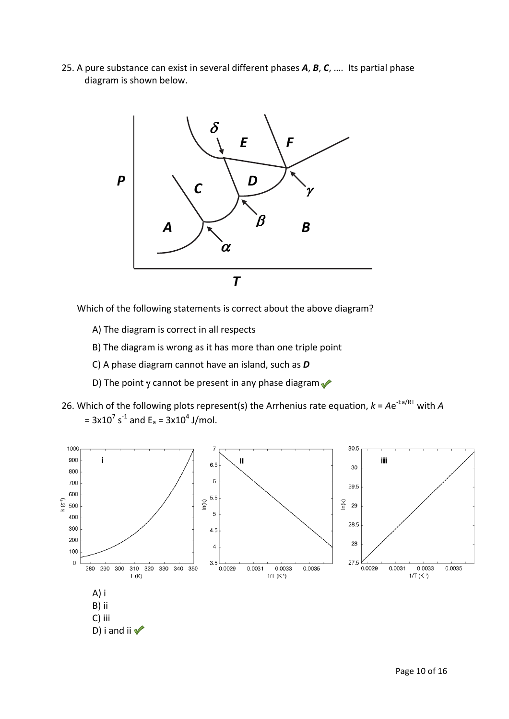25. A pure substance can exist in several different phases *A*, *B*, *C*, …. Its partial phase diagram is shown below.



Which of the following statements is correct about the above diagram?

- A) The diagram is correct in all respects
- B) The diagram is wrong as it has more than one triple point
- C) A phase diagram cannot have an island, such as *D*
- D) The point  $\gamma$  cannot be present in any phase diagram
- 26. Which of the following plots represent(s) the Arrhenius rate equation,  $k = Ae^{-Ea/RT}$  with *A* =  $3x10^7$  s<sup>-1</sup> and E<sub>a</sub> =  $3x10^4$  J/mol.

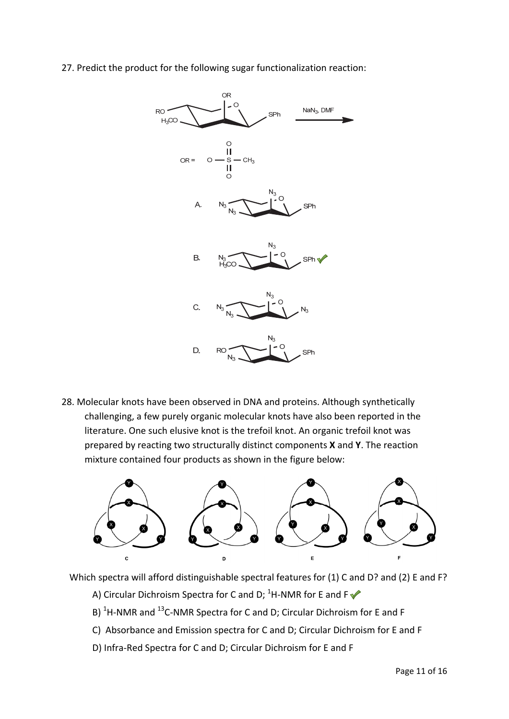27. Predict the product for the following sugar functionalization reaction:



28. Molecular knots have been observed in DNA and proteins. Although synthetically challenging, a few purely organic molecular knots have also been reported in the literature. One such elusive knot is the trefoil knot. An organic trefoil knot was prepared by reacting two structurally distinct components **X** and **Y**. The reaction mixture contained four products as shown in the figure below:



Which spectra will afford distinguishable spectral features for (1) C and D? and (2) E and F?

- A) Circular Dichroism Spectra for C and D;  ${}^{1}$ H-NMR for E and F
- B) <sup>1</sup>H-NMR and <sup>13</sup>C-NMR Spectra for C and D; Circular Dichroism for E and F
- C) Absorbance and Emission spectra for C and D; Circular Dichroism for E and F
- D) Infra‐Red Spectra for C and D; Circular Dichroism for E and F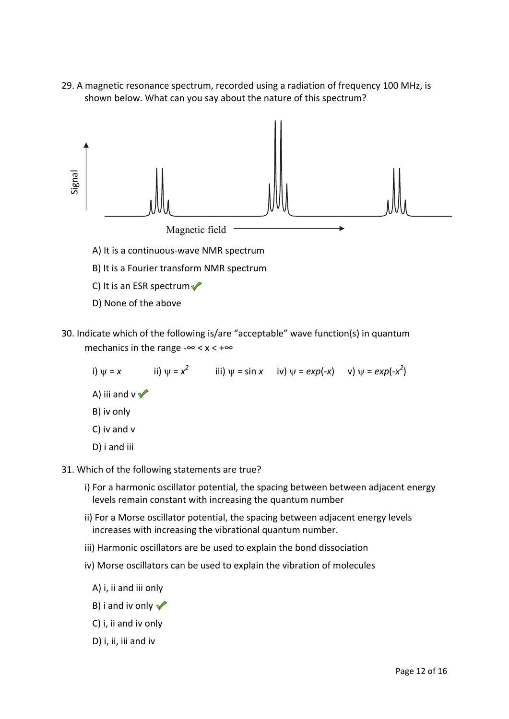29. A magnetic resonance spectrum, recorded using a radiation of frequency 100 MHz, is shown below. What can you say about the nature of this spectrum?



- 
- B) It is a Fourier transform NMR spectrum
- C) It is an ESR spectrum $\blacktriangledown$
- D) None of the above
- 30. Indicate which of the following is/are "acceptable" wave function(s) in quantum mechanics in the range - $\infty < x < +\infty$

i)  $\psi = x$  ii)  $\psi = x^2$  iii)  $\psi = \sin x$  iv)  $\psi = \exp(-x)$  v)  $\psi = \exp(-x^2)$ A) iii and  $v \nless$ B) iv only C) iv and v D) i and iii

- 31. Which of the following statements are true?
	- i) For a harmonic oscillator potential, the spacing between between adjacent energy levels remain constant with increasing the quantum number
	- ii) For a Morse oscillator potential, the spacing between adjacent energy levels increases with increasing the vibrational quantum number.
	- iii) Harmonic oscillators are be used to explain the bond dissociation
	- iv) Morse oscillators can be used to explain the vibration of molecules
		- A) i, ii and iii only
		- B) i and iv only  $\blacktriangledown$
		- C) i, ii and iv only
		- D) i, ii, iii and iv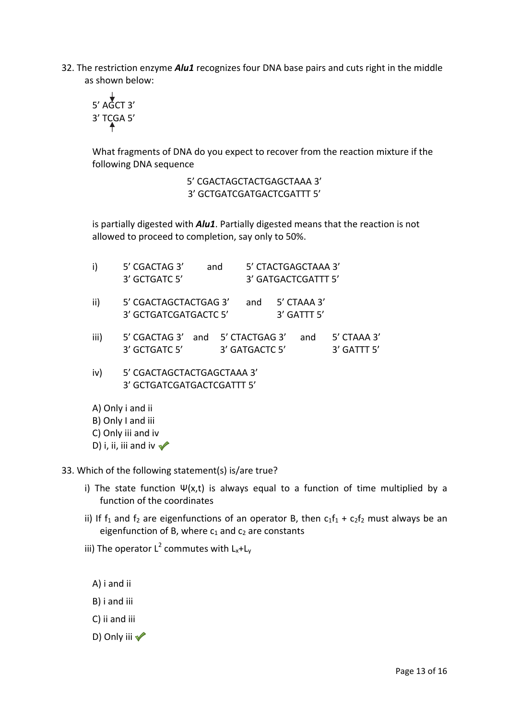32. The restriction enzyme *Alu1* recognizes four DNA base pairs and cuts right in the middle as shown below:

$$
\begin{array}{c}\n\downarrow \\
5' \text{ AGCT 3'} \\
3' \text{ TCGA 5'} \\
\uparrow\n\end{array}
$$

What fragments of DNA do you expect to recover from the reaction mixture if the following DNA sequence

> 5' CGACTAGCTACTGAGCTAAA 3' 3' GCTGATCGATGACTCGATTT 5'

is partially digested with *Alu1*. Partially digested means that the reaction is not allowed to proceed to completion, say only to 50%.

| i)   | 5' CGACTAG 3'<br>3' GCTGATC 5'                              | and |                | 5' CTACTGAGCTAAA 3'<br>3' GATGACTCGATTT 5' |                                |
|------|-------------------------------------------------------------|-----|----------------|--------------------------------------------|--------------------------------|
| ii)  | 5' CGACTAGCTACTGAG 3'<br>3' GCTGATCGATGACTC 5'              |     | and            | 5' CTAAA 3'<br>3' GATTT 5'                 |                                |
| iii) | 5' CGACTAG 3' and 5' CTACTGAG 3'<br>3' GCTGATC 5'           |     | 3' GATGACTC 5' | and                                        | 5' CTAAA 3'<br>$3'$ GATTT $5'$ |
| iv)  | 5' CGACTAGCTACTGAGCTAAA 3'<br>3' GCTGATCGATGACTCGATTT 5'    |     |                |                                            |                                |
|      | A) Only i and ii<br>B) Only I and iii<br>C) Only iii and iv |     |                |                                            |                                |

D) i, ii, iii and iv  $\triangle$ 

33. Which of the following statement(s) is/are true?

- i) The state function  $\Psi(x,t)$  is always equal to a function of time multiplied by a function of the coordinates
- ii) If  $f_1$  and  $f_2$  are eigenfunctions of an operator B, then  $c_1f_1 + c_2f_2$  must always be an eigenfunction of B, where  $c_1$  and  $c_2$  are constants
- iii) The operator L<sup>2</sup> commutes with L<sub>x</sub>+L<sub>y</sub>
	- A) i and ii
	- B) i and iii
	- C) ii and iii
	- D) Only iii  $\sqrt{ }$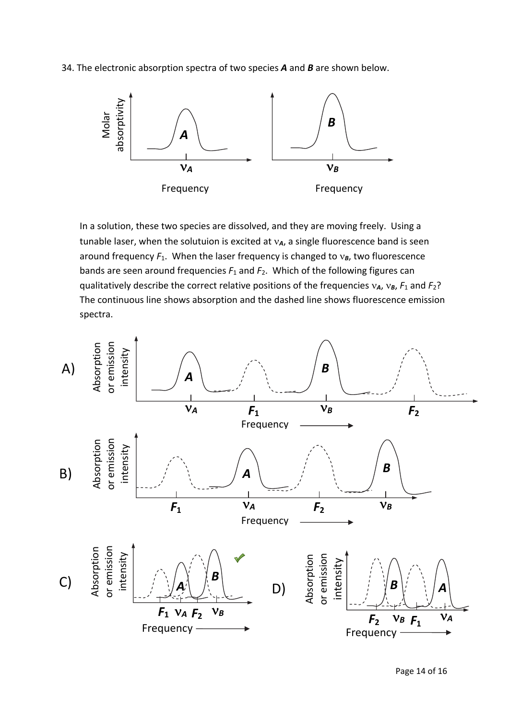34. The electronic absorption spectra of two species *A* and *B* are shown below.



In a solution, these two species are dissolved, and they are moving freely. Using a tunable laser, when the solutuion is excited at  $v_A$ , a single fluorescence band is seen around frequency  $F_1$ . When the laser frequency is changed to  $v_B$ , two fluorescence bands are seen around frequencies *F*<sup>1</sup> and *F*2. Which of the following figures can qualitatively describe the correct relative positions of the frequencies  $v_A$ ,  $v_B$ ,  $F_1$  and  $F_2$ ? The continuous line shows absorption and the dashed line shows fluorescence emission spectra.

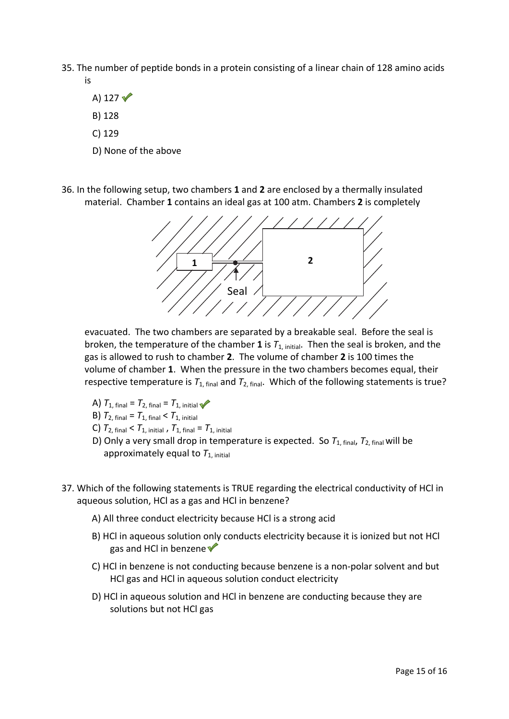- 35. The number of peptide bonds in a protein consisting of a linear chain of 128 amino acids is
	- A)  $127$   $\sqrt{ }$ B) 128
	- C) 129
	- D) None of the above
- 36. In the following setup, two chambers **1** and **2** are enclosed by a thermally insulated material. Chamber **1** contains an ideal gas at 100 atm. Chambers **2** is completely



evacuated. The two chambers are separated by a breakable seal. Before the seal is broken, the temperature of the chamber 1 is  $T_{1, \text{ initial}}$ . Then the seal is broken, and the gas is allowed to rush to chamber **2**. The volume of chamber **2** is 100 times the volume of chamber **1**. When the pressure in the two chambers becomes equal, their respective temperature is  $T_{1, final}$  and  $T_{2, final}$ . Which of the following statements is true?

- A)  $T_{1, final} = T_{2, final} = T_{1, initial}$
- **B)**  $T_{2,\text{final}} = T_{1,\text{final}} < T_{1,\text{initial}}$
- C)  $T_{2, final} < T_{1, initial}$ ,  $T_{1, final} = T_{1, initial}$
- D) Only a very small drop in temperature is expected. So  $T_{1, final}$ ,  $T_{2, final}$  will be approximately equal to  $T_{1, initial}$
- 37. Which of the following statements is TRUE regarding the electrical conductivity of HCl in aqueous solution, HCl as a gas and HCl in benzene?
	- A) All three conduct electricity because HCl is a strong acid
	- B) HCl in aqueous solution only conducts electricity because it is ionized but not HCl gas and HCl in benzene
	- C) HCl in benzene is not conducting because benzene is a non‐polar solvent and but HCl gas and HCl in aqueous solution conduct electricity
	- D) HCl in aqueous solution and HCl in benzene are conducting because they are solutions but not HCl gas